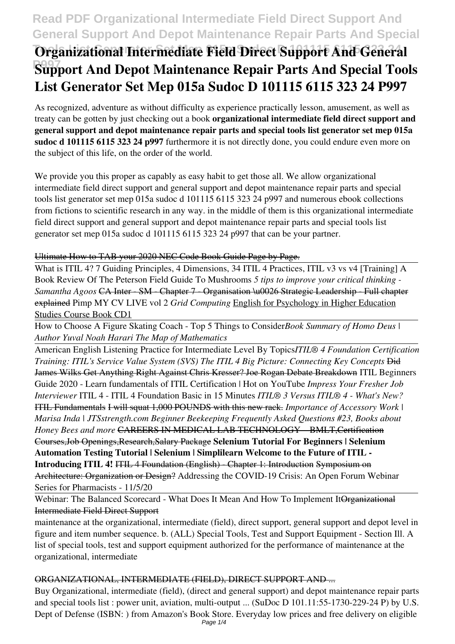## **Read PDF Organizational Intermediate Field Direct Support And General Support And Depot Maintenance Repair Parts And Special**

# **Organizational Intermediate Field Direct Support And General P997 Support And Depot Maintenance Repair Parts And Special Tools List Generator Set Mep 015a Sudoc D 101115 6115 323 24 P997**

As recognized, adventure as without difficulty as experience practically lesson, amusement, as well as treaty can be gotten by just checking out a book **organizational intermediate field direct support and general support and depot maintenance repair parts and special tools list generator set mep 015a sudoc d 101115 6115 323 24 p997** furthermore it is not directly done, you could endure even more on the subject of this life, on the order of the world.

We provide you this proper as capably as easy habit to get those all. We allow organizational intermediate field direct support and general support and depot maintenance repair parts and special tools list generator set mep 015a sudoc d 101115 6115 323 24 p997 and numerous ebook collections from fictions to scientific research in any way. in the middle of them is this organizational intermediate field direct support and general support and depot maintenance repair parts and special tools list generator set mep 015a sudoc d 101115 6115 323 24 p997 that can be your partner.

#### Ultimate How to TAB your 2020 NEC Code Book Guide Page by Page.

What is ITIL 4? 7 Guiding Principles, 4 Dimensions, 34 ITIL 4 Practices, ITIL v3 vs v4 [Training] A Book Review Of The Peterson Field Guide To Mushrooms *5 tips to improve your critical thinking - Samantha Agoos* CA Inter - SM - Chapter 7 - Organisation \u0026 Strategic Leadership - Full chapter explained Pimp MY CV LIVE vol 2 *Grid Computing* English for Psychology in Higher Education Studies Course Book CD1

How to Choose A Figure Skating Coach - Top 5 Things to Consider*Book Summary of Homo Deus | Author Yuval Noah Harari The Map of Mathematics*

American English Listening Practice for Intermediate Level By Topics*ITIL® 4 Foundation Certification Training: ITIL's Service Value System (SVS) The ITIL 4 Big Picture: Connecting Key Concepts* Did James Wilks Get Anything Right Against Chris Kresser? Joe Rogan Debate Breakdown ITIL Beginners Guide 2020 - Learn fundamentals of ITIL Certification | Hot on YouTube *Impress Your Fresher Job Interviewer* ITIL 4 - ITIL 4 Foundation Basic in 15 Minutes *ITIL® 3 Versus ITIL® 4 - What's New?* ITIL Fundamentals I will squat 1,000 POUNDS with this new rack. *Importance of Accessory Work | Marisa Inda | JTSstrength.com Beginner Beekeeping Frequently Asked Questions #23, Books about Honey Bees and more* CAREERS IN MEDICAL LAB TECHNOLOGY – BMLT,Certification Courses,Job Openings,Research,Salary Package **Selenium Tutorial For Beginners | Selenium Automation Testing Tutorial | Selenium | Simplilearn Welcome to the Future of ITIL - Introducing ITIL 4! ITIL 4 Foundation (English) - Chapter 1: Introduction Symposium on** Architecture: Organization or Design? Addressing the COVID-19 Crisis: An Open Forum Webinar Series for Pharmacists - 11/5/20

### Webinar: The Balanced Scorecard - What Does It Mean And How To Implement It Organizational Intermediate Field Direct Support

maintenance at the organizational, intermediate (field), direct support, general support and depot level in figure and item number sequence. b. (ALL) Special Tools, Test and Support Equipment - Section Ill. A list of special tools, test and support equipment authorized for the performance of maintenance at the organizational, intermediate

### ORGANIZATIONAL, INTERMEDIATE (FIELD), DIRECT SUPPORT AND ...

Buy Organizational, intermediate (field), (direct and general support) and depot maintenance repair parts and special tools list : power unit, aviation, multi-output ... (SuDoc D 101.11:55-1730-229-24 P) by U.S. Dept of Defense (ISBN: ) from Amazon's Book Store. Everyday low prices and free delivery on eligible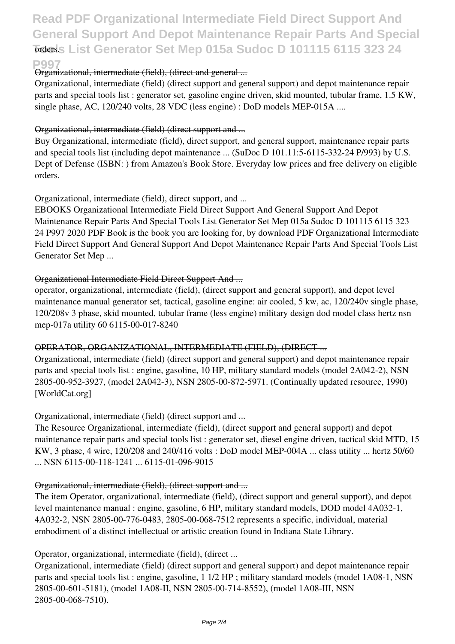# **Read PDF Organizational Intermediate Field Direct Support And General Support And Depot Maintenance Repair Parts And Special Torders. List Generator Set Mep 015a Sudoc D 101115 6115 323 24**

#### **P997**

#### Organizational, intermediate (field), (direct and general ...

Organizational, intermediate (field) (direct support and general support) and depot maintenance repair parts and special tools list : generator set, gasoline engine driven, skid mounted, tubular frame, 1.5 KW, single phase, AC, 120/240 volts, 28 VDC (less engine) : DoD models MEP-015A ....

#### Organizational, intermediate (field) (direct support and ...

Buy Organizational, intermediate (field), direct support, and general support, maintenance repair parts and special tools list (including depot maintenance ... (SuDoc D 101.11:5-6115-332-24 P/993) by U.S. Dept of Defense (ISBN: ) from Amazon's Book Store. Everyday low prices and free delivery on eligible orders.

#### Organizational, intermediate (field), direct support, and ...

EBOOKS Organizational Intermediate Field Direct Support And General Support And Depot Maintenance Repair Parts And Special Tools List Generator Set Mep 015a Sudoc D 101115 6115 323 24 P997 2020 PDF Book is the book you are looking for, by download PDF Organizational Intermediate Field Direct Support And General Support And Depot Maintenance Repair Parts And Special Tools List Generator Set Mep ...

#### Organizational Intermediate Field Direct Support And ...

operator, organizational, intermediate (field), (direct support and general support), and depot level maintenance manual generator set, tactical, gasoline engine: air cooled, 5 kw, ac, 120/240v single phase, 120/208v 3 phase, skid mounted, tubular frame (less engine) military design dod model class hertz nsn mep-017a utility 60 6115-00-017-8240

#### OPERATOR, ORGANIZATIONAL, INTERMEDIATE (FIELD), (DIRECT ...

Organizational, intermediate (field) (direct support and general support) and depot maintenance repair parts and special tools list : engine, gasoline, 10 HP, military standard models (model 2A042-2), NSN 2805-00-952-3927, (model 2A042-3), NSN 2805-00-872-5971. (Continually updated resource, 1990) [WorldCat.org]

#### Organizational, intermediate (field) (direct support and ...

The Resource Organizational, intermediate (field), (direct support and general support) and depot maintenance repair parts and special tools list : generator set, diesel engine driven, tactical skid MTD, 15 KW, 3 phase, 4 wire, 120/208 and 240/416 volts : DoD model MEP-004A ... class utility ... hertz 50/60 ... NSN 6115-00-118-1241 ... 6115-01-096-9015

#### Organizational, intermediate (field), (direct support and ...

The item Operator, organizational, intermediate (field), (direct support and general support), and depot level maintenance manual : engine, gasoline, 6 HP, military standard models, DOD model 4A032-1, 4A032-2, NSN 2805-00-776-0483, 2805-00-068-7512 represents a specific, individual, material embodiment of a distinct intellectual or artistic creation found in Indiana State Library.

#### Operator, organizational, intermediate (field), (direct ...

Organizational, intermediate (field) (direct support and general support) and depot maintenance repair parts and special tools list : engine, gasoline, 1 1/2 HP ; military standard models (model 1A08-1, NSN 2805-00-601-5181), (model 1A08-II, NSN 2805-00-714-8552), (model 1A08-III, NSN 2805-00-068-7510).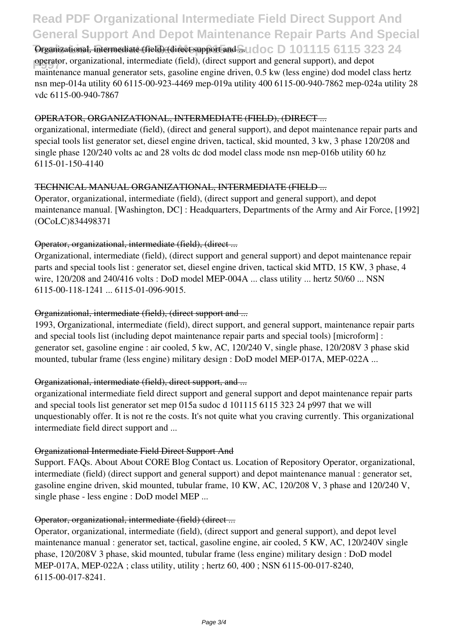## **Read PDF Organizational Intermediate Field Direct Support And General Support And Depot Maintenance Repair Parts And Special**

Organizational, intermediate (field) (direct support and ... Ucloc D 101115 6115 323 24 **perator**, organizational, intermediate (field), (direct support and general support), and depote maintenance manual generator sets, gasoline engine driven, 0.5 kw (less engine) dod model class hertz nsn mep-014a utility 60 6115-00-923-4469 mep-019a utility 400 6115-00-940-7862 mep-024a utility 28 vdc 6115-00-940-7867

#### OPERATOR, ORGANIZATIONAL, INTERMEDIATE (FIELD), (DIRECT ...

organizational, intermediate (field), (direct and general support), and depot maintenance repair parts and special tools list generator set, diesel engine driven, tactical, skid mounted, 3 kw, 3 phase 120/208 and single phase 120/240 volts ac and 28 volts dc dod model class mode nsn mep-016b utility 60 hz 6115-01-150-4140

#### TECHNICAL MANUAL ORGANIZATIONAL, INTERMEDIATE (FIELD ...

Operator, organizational, intermediate (field), (direct support and general support), and depot maintenance manual. [Washington, DC] : Headquarters, Departments of the Army and Air Force, [1992] (OCoLC)834498371

#### Operator, organizational, intermediate (field), (direct ...

Organizational, intermediate (field), (direct support and general support) and depot maintenance repair parts and special tools list : generator set, diesel engine driven, tactical skid MTD, 15 KW, 3 phase, 4 wire, 120/208 and 240/416 volts : DoD model MEP-004A ... class utility ... hertz 50/60 ... NSN 6115-00-118-1241 ... 6115-01-096-9015.

#### Organizational, intermediate (field), (direct support and ...

1993, Organizational, intermediate (field), direct support, and general support, maintenance repair parts and special tools list (including depot maintenance repair parts and special tools) [microform] : generator set, gasoline engine : air cooled, 5 kw, AC, 120/240 V, single phase, 120/208V 3 phase skid mounted, tubular frame (less engine) military design : DoD model MEP-017A, MEP-022A ...

#### Organizational, intermediate (field), direct support, and ...

organizational intermediate field direct support and general support and depot maintenance repair parts and special tools list generator set mep 015a sudoc d 101115 6115 323 24 p997 that we will unquestionably offer. It is not re the costs. It's not quite what you craving currently. This organizational intermediate field direct support and ...

#### Organizational Intermediate Field Direct Support And

Support. FAQs. About About CORE Blog Contact us. Location of Repository Operator, organizational, intermediate (field) (direct support and general support) and depot maintenance manual : generator set, gasoline engine driven, skid mounted, tubular frame, 10 KW, AC, 120/208 V, 3 phase and 120/240 V, single phase - less engine : DoD model MEP ...

#### Operator, organizational, intermediate (field) (direct ...

Operator, organizational, intermediate (field), (direct support and general support), and depot level maintenance manual : generator set, tactical, gasoline engine, air cooled, 5 KW, AC, 120/240V single phase, 120/208V 3 phase, skid mounted, tubular frame (less engine) military design : DoD model MEP-017A, MEP-022A ; class utility, utility ; hertz 60, 400 ; NSN 6115-00-017-8240, 6115-00-017-8241.